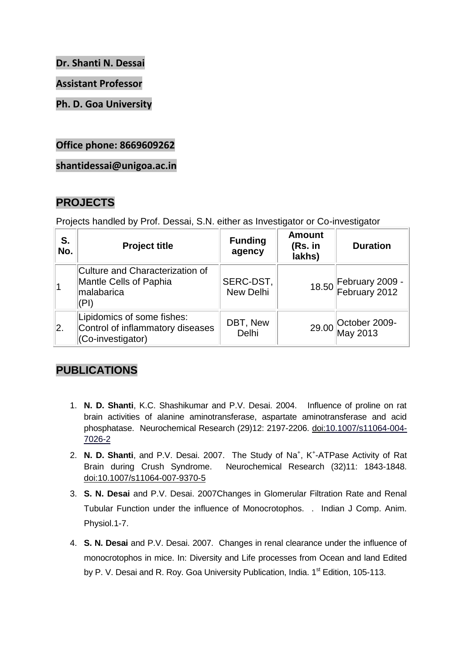**Dr. Shanti N. Dessai**

**Assistant Professor**

**Ph. D. Goa University**

**Office phone: 8669609262**

**shantidessai@unigoa.ac.in**

### **PROJECTS**

Projects handled by Prof. Dessai, S.N. either as Investigator or Co-investigator

| S.<br>No. | <b>Project title</b>                                                                   | <b>Funding</b><br>agency | <b>Amount</b><br>(Rs. in<br>lakhs) | <b>Duration</b>                        |
|-----------|----------------------------------------------------------------------------------------|--------------------------|------------------------------------|----------------------------------------|
|           | Culture and Characterization of<br><b>Mantle Cells of Paphia</b><br>malabarica<br>(PI) | SERC-DST,<br>New Delhi   |                                    | 18.50 February 2009 -<br>February 2012 |
| 2.        | Lipidomics of some fishes:<br>Control of inflammatory diseases<br>(Co-investigator)    | DBT, New<br>Delhi        |                                    | 29.00 October 2009-<br>May 2013        |

# **PUBLICATIONS**

- 1. **N. D. Shanti**, K.C. Shashikumar and P.V. Desai. 2004. Influence of proline on rat brain activities of alanine aminotransferase, aspartate aminotransferase and acid phosphatase. Neurochemical Research (29)12: 2197-2206. doi:10.1007/s11064-004- 7026-2
- 2. N. D. Shanti, and P.V. Desai. 2007. The Study of Na<sup>+</sup>, K<sup>+</sup>-ATPase Activity of Rat Brain during Crush Syndrome. Neurochemical Research (32)11: 1843-1848. doi:10.1007/s11064-007-9370-5
- 3. **S. N. Desai** and P.V. Desai. 2007Changes in Glomerular Filtration Rate and Renal Tubular Function under the influence of Monocrotophos. . Indian J Comp. Anim. Physiol.1-7.
- 4. **S. N. Desai** and P.V. Desai. 2007. Changes in renal clearance under the influence of monocrotophos in mice. In: Diversity and Life processes from Ocean and land Edited by P. V. Desai and R. Roy. Goa University Publication, India. 1<sup>st</sup> Edition, 105-113.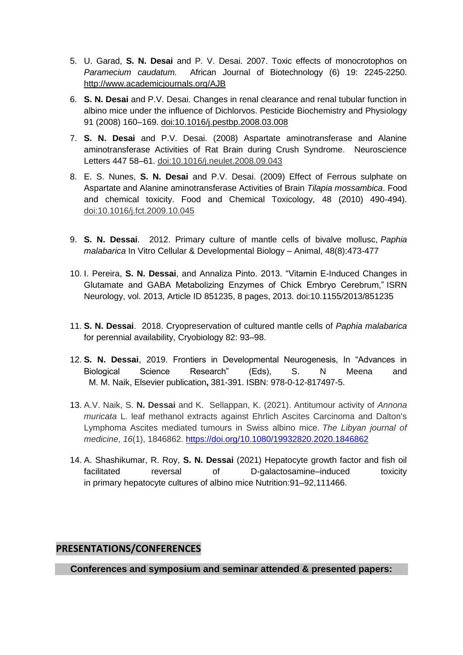- 5. U. Garad, **S. N. Desai** and P. V. Desai. 2007. Toxic effects of monocrotophos on *Paramecium caudatum.* African Journal of Biotechnology (6) 19: 2245-2250. http://www.academicjournals.org/AJB
- 6. **S. N. Desai** and P.V. Desai. Changes in renal clearance and renal tubular function in albino mice under the influence of Dichlorvos. Pesticide Biochemistry and Physiology 91 (2008) 160–169. doi:10.1016/j.pestbp.2008.03.008
- 7. **S. N. Desai** and P.V. Desai. (2008) Aspartate aminotransferase and Alanine aminotransferase Activities of Rat Brain during Crush Syndrome. Neuroscience Letters 447 58–61. doi:10.1016/j.neulet.2008.09.043
- 8. E. S. Nunes, **S. N. Desai** and P.V. Desai. (2009) Effect of Ferrous sulphate on Aspartate and Alanine aminotransferase Activities of Brain *Tilapia mossambica*. Food and chemical toxicity. Food and Chemical Toxicology, 48 (2010) 490-494). doi:10.1016/j.fct.2009.10.045
- 9. **S. N. Dessai**. 2012. Primary culture of mantle cells of bivalve mollusc, *Paphia malabarica* In Vitro Cellular & Developmental Biology – Animal, 48(8):473-477
- 10. I. Pereira, **S. N. Dessai**, and Annaliza Pinto. 2013. "Vitamin E-Induced Changes in Glutamate and GABA Metabolizing Enzymes of Chick Embryo Cerebrum," ISRN Neurology, vol. 2013, Article ID 851235, 8 pages, 2013. doi:10.1155/2013/851235
- 11. **S. N. Dessai**. 2018. Cryopreservation of cultured mantle cells of *Paphia malabarica* for perennial availability, Cryobiology 82: 93–98.
- 12. **S. N. Dessai**, 2019. Frontiers in Developmental Neurogenesis, In "Advances in Biological Science Research" (Eds), S. N Meena and M. M. Naik, Elsevier publication**,** 381-391. ISBN: 978-0-12-817497-5.
- 13. A.V. Naik, S. **N. Dessai** and K. Sellappan, K. (2021). Antitumour activity of *Annona muricata* L. leaf methanol extracts against Ehrlich Ascites Carcinoma and Dalton's Lymphoma Ascites mediated tumours in Swiss albino mice. *The Libyan journal of medicine*, *16*(1), 1846862.<https://doi.org/10.1080/19932820.2020.1846862>
- 14. A. Shashikumar, R. Roy, **S. N. Dessai** (2021) Hepatocyte growth factor and fish oil facilitated reversal of D-galactosamine–induced toxicity in primary hepatocyte cultures of albino mice Nutrition:91–92,111466.

### **PRESENTATIONS/CONFERENCES**

**Conferences and symposium and seminar attended & presented papers:**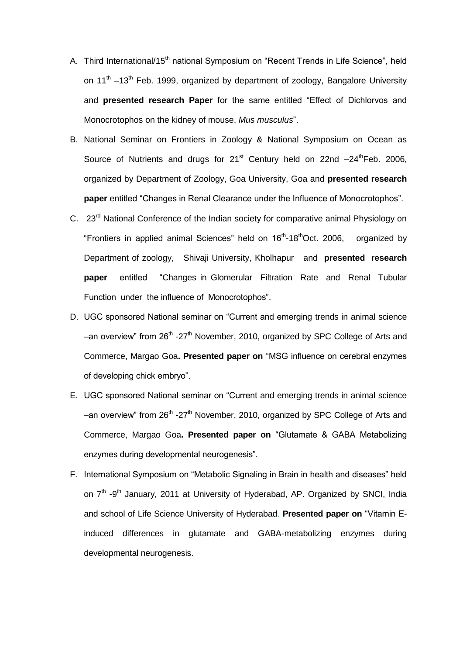- A. Third International/15<sup>th</sup> national Symposium on "Recent Trends in Life Science", held on 11<sup>th</sup>  $-13$ <sup>th</sup> Feb. 1999, organized by department of zoology, Bangalore University and **presented research Paper** for the same entitled "Effect of Dichlorvos and Monocrotophos on the kidney of mouse, *Mus musculus*".
- B. National Seminar on Frontiers in Zoology & National Symposium on Ocean as Source of Nutrients and drugs for  $21<sup>st</sup>$  Century held on  $22nd -24<sup>th</sup>$ Feb. 2006, organized by Department of Zoology, Goa University, Goa and **presented research paper** entitled "Changes in Renal Clearance under the Influence of Monocrotophos".
- C. 23<sup>rd</sup> National Conference of the Indian society for comparative animal Physiology on "Frontiers in applied animal Sciences" held on 16<sup>th</sup>-18<sup>th</sup>Oct. 2006, organized by Department of zoology, Shivaji University, Kholhapur and **presented research paper** entitled "Changes in Glomerular Filtration Rate and Renal Tubular Function under the influence of Monocrotophos".
- D. UGC sponsored National seminar on "Current and emerging trends in animal science -an overview" from 26<sup>th</sup> -27<sup>th</sup> November, 2010, organized by SPC College of Arts and Commerce, Margao Goa**. Presented paper on** "MSG influence on cerebral enzymes of developing chick embryo".
- E. UGC sponsored National seminar on "Current and emerging trends in animal science -an overview" from 26<sup>th</sup> -27<sup>th</sup> November, 2010, organized by SPC College of Arts and Commerce, Margao Goa**. Presented paper on** "Glutamate & GABA Metabolizing enzymes during developmental neurogenesis".
- F. International Symposium on "Metabolic Signaling in Brain in health and diseases" held on 7<sup>th</sup> -9<sup>th</sup> January, 2011 at University of Hyderabad, AP. Organized by SNCI, India and school of Life Science University of Hyderabad. **Presented paper on** "Vitamin Einduced differences in glutamate and GABA-metabolizing enzymes during developmental neurogenesis.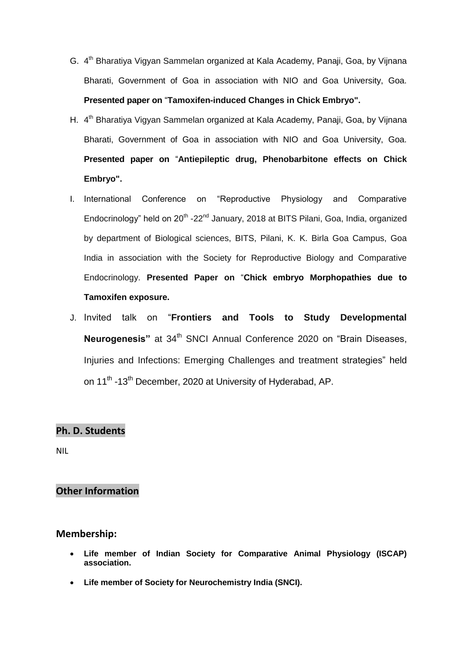- G. 4<sup>th</sup> Bharatiya Vigyan Sammelan organized at Kala Academy, Panaji, Goa, by Vijnana Bharati, Government of Goa in association with NIO and Goa University, Goa. **Presented paper on** "**Tamoxifen-induced Changes in Chick Embryo".**
- H. 4<sup>th</sup> Bharatiya Vigyan Sammelan organized at Kala Academy, Panaji, Goa, by Vijnana Bharati, Government of Goa in association with NIO and Goa University, Goa. **Presented paper on** "**Antiepileptic drug, Phenobarbitone effects on Chick Embryo".**
- I. International Conference on "Reproductive Physiology and Comparative Endocrinology" held on 20<sup>th</sup> -22<sup>nd</sup> January, 2018 at BITS Pilani, Goa, India, organized by department of Biological sciences, BITS, Pilani, K. K. Birla Goa Campus, Goa India in association with the Society for Reproductive Biology and Comparative Endocrinology. **Presented Paper on** "**Chick embryo Morphopathies due to Tamoxifen exposure.**
- J. Invited talk on "**Frontiers and Tools to Study Developmental Neurogenesis**" at 34<sup>th</sup> SNCI Annual Conference 2020 on "Brain Diseases, Injuries and Infections: Emerging Challenges and treatment strategies" held on 11<sup>th</sup> -13<sup>th</sup> December, 2020 at University of Hyderabad, AP.

### **Ph. D. Students**

NIL

### **Other Information**

#### **Membership:**

- **Life member of Indian Society for Comparative Animal Physiology (ISCAP) association.**
- **Life member of Society for Neurochemistry India (SNCI).**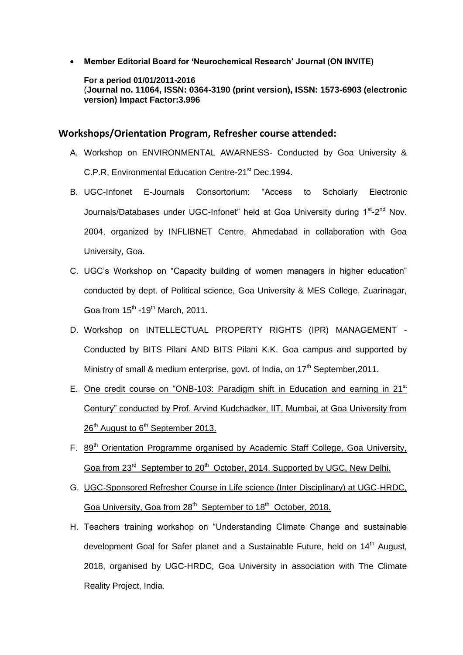**Member Editorial Board for "Neurochemical Research" Journal (ON INVITE)**

**For a period 01/01/2011-2016**  (**Journal no. 11064, ISSN: 0364-3190 (print version), ISSN: 1573-6903 (electronic version) Impact Factor:3.996**

#### **Workshops/Orientation Program, Refresher course attended:**

- A. Workshop on ENVIRONMENTAL AWARNESS- Conducted by Goa University & C.P.R, Environmental Education Centre-21<sup>st</sup> Dec.1994.
- B. UGC-Infonet E-Journals Consortorium: "Access to Scholarly Electronic Journals/Databases under UGC-Infonet" held at Goa University during 1<sup>st</sup>-2<sup>nd</sup> Nov. 2004, organized by INFLIBNET Centre, Ahmedabad in collaboration with Goa University, Goa.
- C. UGC's Workshop on "Capacity building of women managers in higher education" conducted by dept. of Political science, Goa University & MES College, Zuarinagar, Goa from  $15^{th}$  -19<sup>th</sup> March, 2011.
- D. Workshop on INTELLECTUAL PROPERTY RIGHTS (IPR) MANAGEMENT Conducted by BITS Pilani AND BITS Pilani K.K. Goa campus and supported by Ministry of small & medium enterprise, govt. of India, on  $17<sup>th</sup>$  September, 2011.
- E. One credit course on "ONB-103: Paradigm shift in Education and earning in 21<sup>st</sup> Century" conducted by Prof. Arvind Kudchadker, IIT, Mumbai, at Goa University from 26<sup>th</sup> August to 6<sup>th</sup> September 2013.
- F. 89<sup>th</sup> Orientation Programme organised by Academic Staff College, Goa University, Goa from 23<sup>rd</sup> September to 20<sup>th</sup> October, 2014. Supported by UGC, New Delhi.
- G. UGC-Sponsored Refresher Course in Life science (Inter Disciplinary) at UGC-HRDC, Goa University, Goa from 28<sup>th</sup> September to 18<sup>th</sup> October, 2018.
- H. Teachers training workshop on "Understanding Climate Change and sustainable development Goal for Safer planet and a Sustainable Future, held on 14<sup>th</sup> August, 2018, organised by UGC-HRDC, Goa University in association with The Climate Reality Project, India.